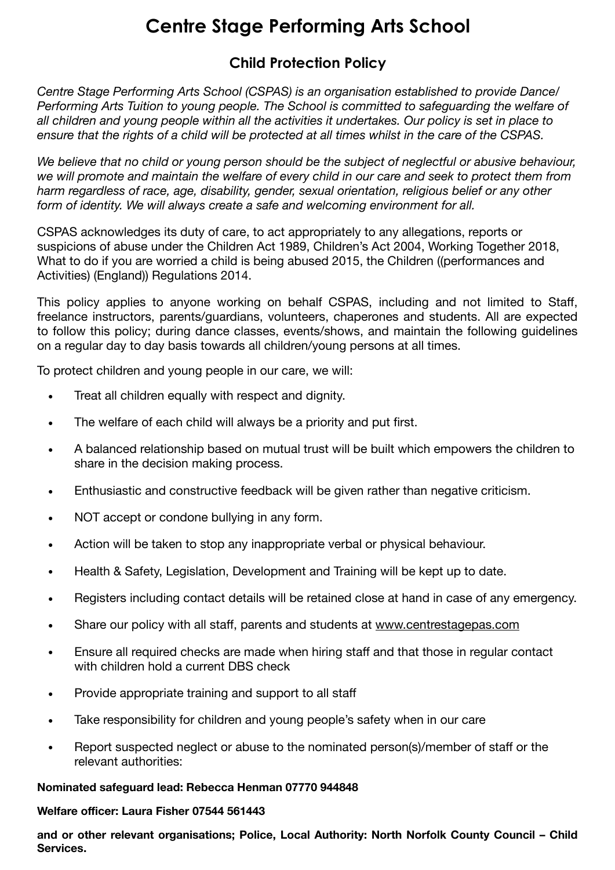# **Centre Stage Performing Arts School**

## **Child Protection Policy**

*Centre Stage Performing Arts School (CSPAS) is an organisation established to provide Dance/ Performing Arts Tuition to young people. The School is committed to safeguarding the welfare of all children and young people within all the activities it undertakes. Our policy is set in place to ensure that the rights of a child will be protected at all times whilst in the care of the CSPAS.* 

*We believe that no child or young person should be the subject of neglectful or abusive behaviour, we will promote and maintain the welfare of every child in our care and seek to protect them from harm regardless of race, age, disability, gender, sexual orientation, religious belief or any other form of identity. We will always create a safe and welcoming environment for all.* 

CSPAS acknowledges its duty of care, to act appropriately to any allegations, reports or suspicions of abuse under the Children Act 1989, Children's Act 2004, Working Together 2018, What to do if you are worried a child is being abused 2015, the Children ((performances and Activities) (England)) Regulations 2014.

This policy applies to anyone working on behalf CSPAS, including and not limited to Staff, freelance instructors, parents/guardians, volunteers, chaperones and students. All are expected to follow this policy; during dance classes, events/shows, and maintain the following guidelines on a regular day to day basis towards all children/young persons at all times.

To protect children and young people in our care, we will:

- Treat all children equally with respect and dignity.
- The welfare of each child will always be a priority and put first.
- A balanced relationship based on mutual trust will be built which empowers the children to share in the decision making process.
- Enthusiastic and constructive feedback will be given rather than negative criticism.
- NOT accept or condone bullying in any form.
- Action will be taken to stop any inappropriate verbal or physical behaviour.
- Health & Safety, Legislation, Development and Training will be kept up to date.
- Registers including contact details will be retained close at hand in case of any emergency.
- Share our policy with all staff, parents and students at [www.centrestagepas.com](http://www.centrestagepas.co.uk)
- Ensure all required checks are made when hiring staff and that those in regular contact with children hold a current DBS check
- Provide appropriate training and support to all staff
- Take responsibility for children and young people's safety when in our care
- Report suspected neglect or abuse to the nominated person(s)/member of staff or the relevant authorities:

#### **Nominated safeguard lead: Rebecca Henman 07770 944848**

**Welfare officer: Laura Fisher 07544 561443** 

**and or other relevant organisations; Police, Local Authority: North Norfolk County Council – Child Services.**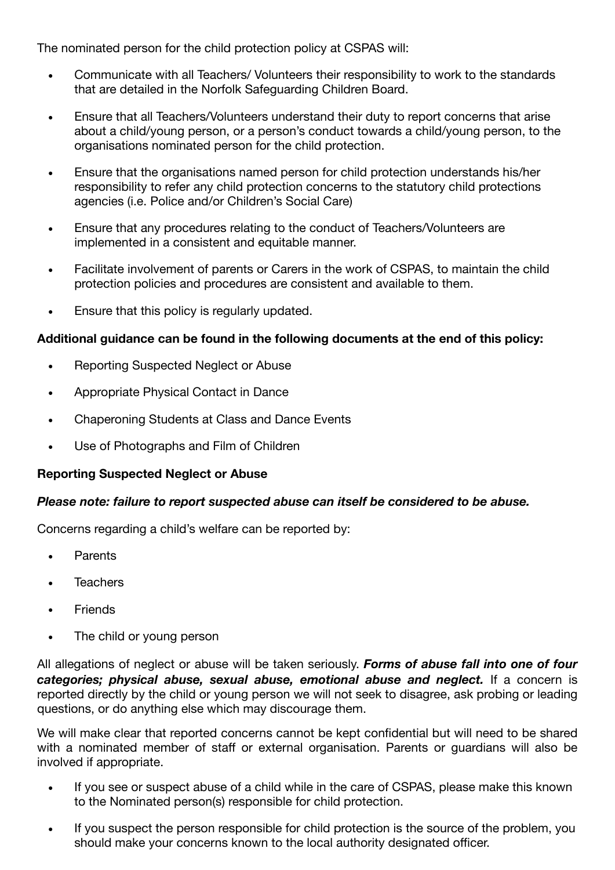The nominated person for the child protection policy at CSPAS will:

- Communicate with all Teachers/ Volunteers their responsibility to work to the standards that are detailed in the Norfolk Safeguarding Children Board.
- Ensure that all Teachers/Volunteers understand their duty to report concerns that arise about a child/young person, or a person's conduct towards a child/young person, to the organisations nominated person for the child protection.
- Ensure that the organisations named person for child protection understands his/her responsibility to refer any child protection concerns to the statutory child protections agencies (i.e. Police and/or Children's Social Care)
- Ensure that any procedures relating to the conduct of Teachers/Volunteers are implemented in a consistent and equitable manner.
- Facilitate involvement of parents or Carers in the work of CSPAS, to maintain the child protection policies and procedures are consistent and available to them.
- Ensure that this policy is regularly updated.

#### **Additional guidance can be found in the following documents at the end of this policy:**

- Reporting Suspected Neglect or Abuse
- Appropriate Physical Contact in Dance
- Chaperoning Students at Class and Dance Events
- Use of Photographs and Film of Children

#### **Reporting Suspected Neglect or Abuse**

#### *Please note: failure to report suspected abuse can itself be considered to be abuse.*

Concerns regarding a child's welfare can be reported by:

- Parents
- **Teachers**
- Friends
- The child or young person

All allegations of neglect or abuse will be taken seriously. *Forms of abuse fall into one of four categories; physical abuse, sexual abuse, emotional abuse and neglect.* If a concern is reported directly by the child or young person we will not seek to disagree, ask probing or leading questions, or do anything else which may discourage them.

We will make clear that reported concerns cannot be kept confidential but will need to be shared with a nominated member of staff or external organisation. Parents or guardians will also be involved if appropriate.

- If you see or suspect abuse of a child while in the care of CSPAS, please make this known to the Nominated person(s) responsible for child protection.
- If you suspect the person responsible for child protection is the source of the problem, you should make your concerns known to the local authority designated officer.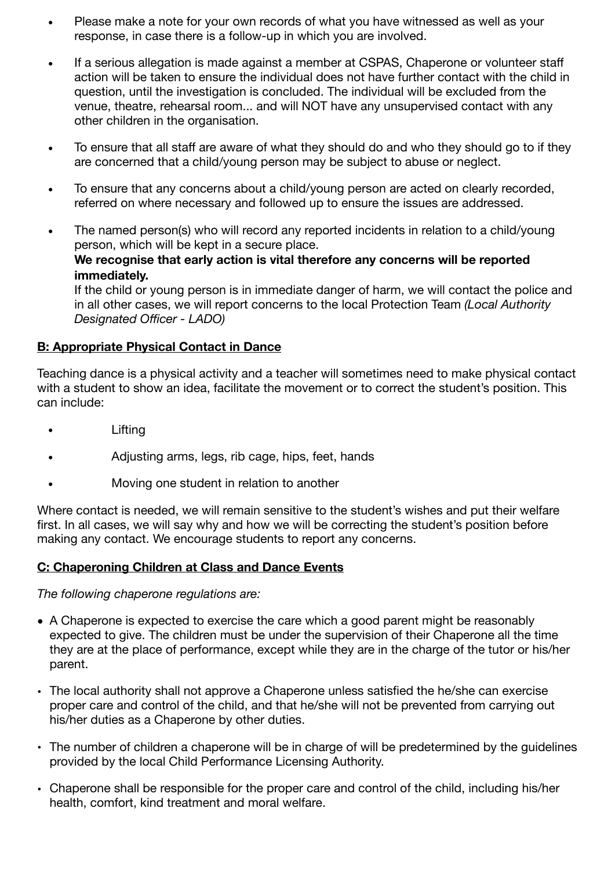- Please make a note for your own records of what you have witnessed as well as your response, in case there is a follow-up in which you are involved.
- If a serious allegation is made against a member at CSPAS, Chaperone or volunteer staff action will be taken to ensure the individual does not have further contact with the child in question, until the investigation is concluded. The individual will be excluded from the venue, theatre, rehearsal room... and will NOT have any unsupervised contact with any other children in the organisation.
- To ensure that all staff are aware of what they should do and who they should go to if they are concerned that a child/young person may be subject to abuse or neglect.
- To ensure that any concerns about a child/young person are acted on clearly recorded, referred on where necessary and followed up to ensure the issues are addressed.
- The named person(s) who will record any reported incidents in relation to a child/young person, which will be kept in a secure place. **We recognise that early action is vital therefore any concerns will be reported immediately.**

If the child or young person is in immediate danger of harm, we will contact the police and in all other cases, we will report concerns to the local Protection Team *(Local Authority Designated Officer - LADO)*

### **B: Appropriate Physical Contact in Dance**

Teaching dance is a physical activity and a teacher will sometimes need to make physical contact with a student to show an idea, facilitate the movement or to correct the student's position. This can include:

- Lifting
- Adjusting arms, legs, rib cage, hips, feet, hands
- Moving one student in relation to another

Where contact is needed, we will remain sensitive to the student's wishes and put their welfare first. In all cases, we will say why and how we will be correcting the student's position before making any contact. We encourage students to report any concerns.

#### **C: Chaperoning Children at Class and Dance Events**

*The following chaperone regulations are:* 

- A Chaperone is expected to exercise the care which a good parent might be reasonably expected to give. The children must be under the supervision of their Chaperone all the time they are at the place of performance, except while they are in the charge of the tutor or his/her parent.
- The local authority shall not approve a Chaperone unless satisfied the he/she can exercise proper care and control of the child, and that he/she will not be prevented from carrying out his/her duties as a Chaperone by other duties.
- The number of children a chaperone will be in charge of will be predetermined by the guidelines provided by the local Child Performance Licensing Authority.
- Chaperone shall be responsible for the proper care and control of the child, including his/her health, comfort, kind treatment and moral welfare.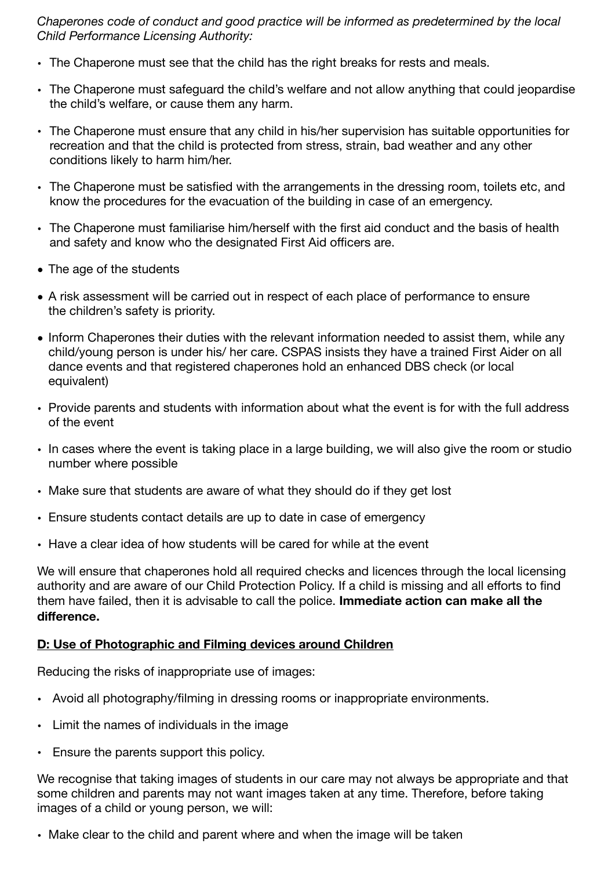*Chaperones code of conduct and good practice will be informed as predetermined by the local Child Performance Licensing Authority:*

- The Chaperone must see that the child has the right breaks for rests and meals.
- The Chaperone must safeguard the child's welfare and not allow anything that could jeopardise the child's welfare, or cause them any harm.
- The Chaperone must ensure that any child in his/her supervision has suitable opportunities for recreation and that the child is protected from stress, strain, bad weather and any other conditions likely to harm him/her.
- The Chaperone must be satisfied with the arrangements in the dressing room, toilets etc, and know the procedures for the evacuation of the building in case of an emergency.
- The Chaperone must familiarise him/herself with the first aid conduct and the basis of health and safety and know who the designated First Aid officers are.
- *•* The age of the students
- *•* A risk assessment will be carried out in respect of each place of performance to ensure the children's safety is priority.
- Inform Chaperones their duties with the relevant information needed to assist them, while any child/young person is under his/ her care. CSPAS insists they have a trained First Aider on all dance events and that registered chaperones hold an enhanced DBS check (or local equivalent)
- Provide parents and students with information about what the event is for with the full address of the event
- In cases where the event is taking place in a large building, we will also give the room or studio number where possible
- Make sure that students are aware of what they should do if they get lost
- Ensure students contact details are up to date in case of emergency
- Have a clear idea of how students will be cared for while at the event

We will ensure that chaperones hold all required checks and licences through the local licensing authority and are aware of our Child Protection Policy. If a child is missing and all efforts to find them have failed, then it is advisable to call the police. **Immediate action can make all the difference.** 

#### **D: Use of Photographic and Filming devices around Children**

Reducing the risks of inappropriate use of images:

- Avoid all photography/filming in dressing rooms or inappropriate environments.
- Limit the names of individuals in the image
- Ensure the parents support this policy.

We recognise that taking images of students in our care may not always be appropriate and that some children and parents may not want images taken at any time. Therefore, before taking images of a child or young person, we will:

• Make clear to the child and parent where and when the image will be taken